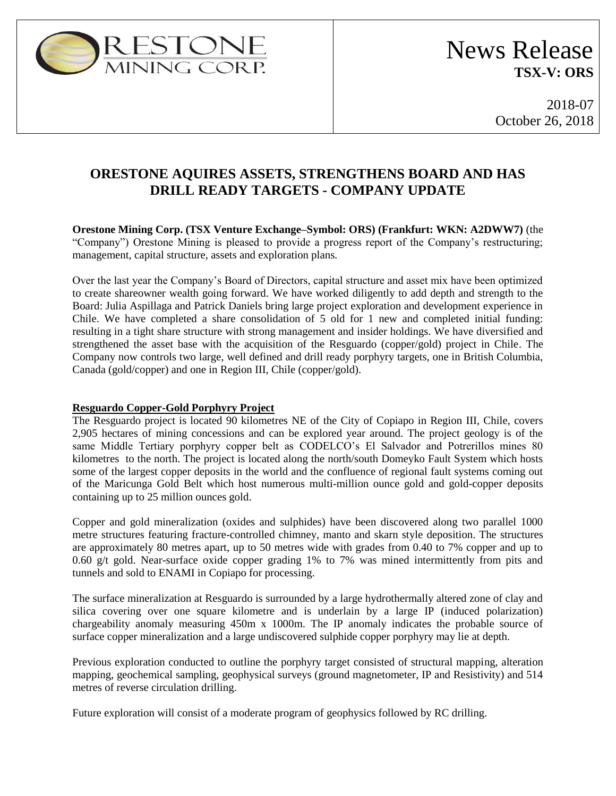

2018-07 October 26, 2018

## **ORESTONE AQUIRES ASSETS, STRENGTHENS BOARD AND HAS DRILL READY TARGETS - COMPANY UPDATE**

**Orestone Mining Corp. (TSX Venture Exchange–Symbol: ORS) (Frankfurt: WKN: A2DWW7)** (the "Company") Orestone Mining is pleased to provide a progress report of the Company's restructuring; management, capital structure, assets and exploration plans.

Over the last year the Company's Board of Directors, capital structure and asset mix have been optimized to create shareowner wealth going forward. We have worked diligently to add depth and strength to the Board: Julia Aspillaga and Patrick Daniels bring large project exploration and development experience in Chile. We have completed a share consolidation of 5 old for 1 new and completed initial funding: resulting in a tight share structure with strong management and insider holdings. We have diversified and strengthened the asset base with the acquisition of the Resguardo (copper/gold) project in Chile. The Company now controls two large, well defined and drill ready porphyry targets, one in British Columbia, Canada (gold/copper) and one in Region III, Chile (copper/gold).

### **Resguardo Copper-Gold Porphyry Project**

The Resguardo project is located 90 kilometres NE of the City of Copiapo in Region III, Chile, covers 2,905 hectares of mining concessions and can be explored year around. The project geology is of the same Middle Tertiary porphyry copper belt as CODELCO's El Salvador and Potrerillos mines 80 kilometres to the north. The project is located along the north/south Domeyko Fault System which hosts some of the largest copper deposits in the world and the confluence of regional fault systems coming out of the Maricunga Gold Belt which host numerous multi-million ounce gold and gold-copper deposits containing up to 25 million ounces gold.

Copper and gold mineralization (oxides and sulphides) have been discovered along two parallel 1000 metre structures featuring fracture-controlled chimney, manto and skarn style deposition. The structures are approximately 80 metres apart, up to 50 metres wide with grades from 0.40 to 7% copper and up to 0.60 g/t gold. Near-surface oxide copper grading 1% to 7% was mined intermittently from pits and tunnels and sold to ENAMI in Copiapo for processing.

The surface mineralization at Resguardo is surrounded by a large hydrothermally altered zone of clay and silica covering over one square kilometre and is underlain by a large IP (induced polarization) chargeability anomaly measuring 450m x 1000m. The IP anomaly indicates the probable source of surface copper mineralization and a large undiscovered sulphide copper porphyry may lie at depth.

Previous exploration conducted to outline the porphyry target consisted of structural mapping, alteration mapping, geochemical sampling, geophysical surveys (ground magnetometer, IP and Resistivity) and 514 metres of reverse circulation drilling.

Future exploration will consist of a moderate program of geophysics followed by RC drilling.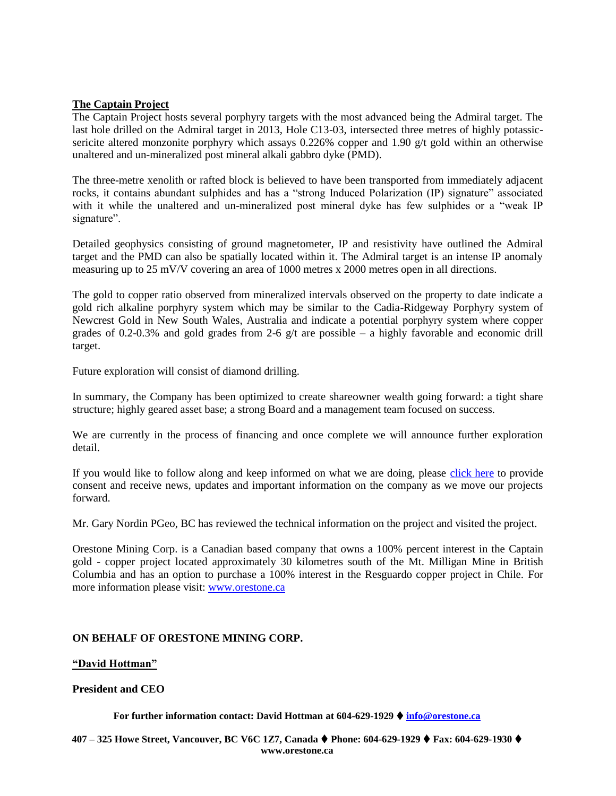### **The Captain Project**

The Captain Project hosts several porphyry targets with the most advanced being the Admiral target. The last hole drilled on the Admiral target in 2013, Hole C13-03, intersected three metres of highly potassicsericite altered monzonite porphyry which assays 0.226% copper and 1.90 g/t gold within an otherwise unaltered and un-mineralized post mineral alkali gabbro dyke (PMD).

The three-metre xenolith or rafted block is believed to have been transported from immediately adjacent rocks, it contains abundant sulphides and has a "strong Induced Polarization (IP) signature" associated with it while the unaltered and un-mineralized post mineral dyke has few sulphides or a "weak IP signature".

Detailed geophysics consisting of ground magnetometer, IP and resistivity have outlined the Admiral target and the PMD can also be spatially located within it. The Admiral target is an intense IP anomaly measuring up to 25 mV/V covering an area of 1000 metres x 2000 metres open in all directions.

The gold to copper ratio observed from mineralized intervals observed on the property to date indicate a gold rich alkaline porphyry system which may be similar to the Cadia-Ridgeway Porphyry system of Newcrest Gold in New South Wales, Australia and indicate a potential porphyry system where copper grades of 0.2-0.3% and gold grades from 2-6  $g/t$  are possible – a highly favorable and economic drill target.

Future exploration will consist of diamond drilling.

In summary, the Company has been optimized to create shareowner wealth going forward: a tight share structure; highly geared asset base; a strong Board and a management team focused on success.

We are currently in the process of financing and once complete we will announce further exploration detail.

If you would like to follow along and keep informed on what we are doing, please [click here](http://orestone.adnetcms.com/contact) to provide consent and receive news, updates and important information on the company as we move our projects forward.

Mr. Gary Nordin PGeo, BC has reviewed the technical information on the project and visited the project.

Orestone Mining Corp. is a Canadian based company that owns a 100% percent interest in the Captain gold - copper project located approximately 30 kilometres south of the Mt. Milligan Mine in British Columbia and has an option to purchase a 100% interest in the Resguardo copper project in Chile. For more information please visit: [www.orestone.ca](http://www.orestone.ca/)

### **ON BEHALF OF ORESTONE MINING CORP.**

### **"David Hottman"**

### **President and CEO**

**For further information contact: David Hottman at 604-629-1929 info@orestone.ca**

**407 – 325 Howe Street, Vancouver, BC V6C 1Z7, Canada Phone: 604-629-1929 Fax: 604-629-1930 www.orestone.ca**